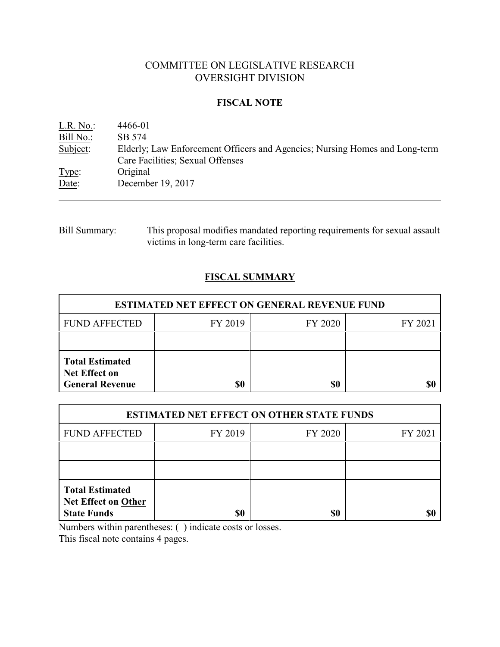# COMMITTEE ON LEGISLATIVE RESEARCH OVERSIGHT DIVISION

### **FISCAL NOTE**

| L.R. No.: | 4466-01                                                                                                         |
|-----------|-----------------------------------------------------------------------------------------------------------------|
| Bill No.: | SB 574                                                                                                          |
| Subject:  | Elderly; Law Enforcement Officers and Agencies; Nursing Homes and Long-term<br>Care Facilities; Sexual Offenses |
| Type:     | Original                                                                                                        |
| Date:     | December 19, 2017                                                                                               |

# Bill Summary: This proposal modifies mandated reporting requirements for sexual assault victims in long-term care facilities.

# **FISCAL SUMMARY**

| <b>ESTIMATED NET EFFECT ON GENERAL REVENUE FUND</b>                      |         |         |         |  |
|--------------------------------------------------------------------------|---------|---------|---------|--|
| <b>FUND AFFECTED</b>                                                     | FY 2019 | FY 2020 | FY 2021 |  |
|                                                                          |         |         |         |  |
| <b>Total Estimated</b><br><b>Net Effect on</b><br><b>General Revenue</b> | \$0     | \$0     |         |  |

| <b>ESTIMATED NET EFFECT ON OTHER STATE FUNDS</b>                           |         |         |         |  |
|----------------------------------------------------------------------------|---------|---------|---------|--|
| <b>FUND AFFECTED</b>                                                       | FY 2019 | FY 2020 | FY 2021 |  |
|                                                                            |         |         |         |  |
|                                                                            |         |         |         |  |
| <b>Total Estimated</b><br><b>Net Effect on Other</b><br><b>State Funds</b> | \$0     | \$0     |         |  |

Numbers within parentheses: ( ) indicate costs or losses.

This fiscal note contains 4 pages.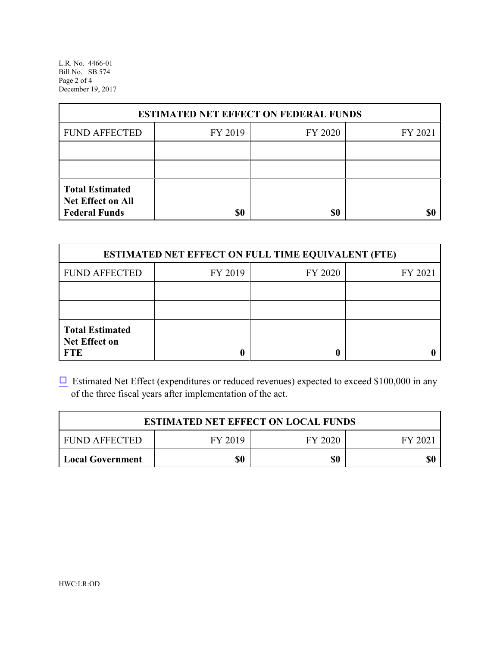L.R. No. 4466-01 Bill No. SB 574 Page 2 of 4 December 19, 2017

| <b>ESTIMATED NET EFFECT ON FEDERAL FUNDS</b>                        |         |         |         |  |
|---------------------------------------------------------------------|---------|---------|---------|--|
| <b>FUND AFFECTED</b>                                                | FY 2019 | FY 2020 | FY 2021 |  |
|                                                                     |         |         |         |  |
|                                                                     |         |         |         |  |
| <b>Total Estimated</b><br>Net Effect on All<br><b>Federal Funds</b> | \$0     | \$0     |         |  |

| <b>ESTIMATED NET EFFECT ON FULL TIME EQUIVALENT (FTE)</b>    |         |         |         |  |
|--------------------------------------------------------------|---------|---------|---------|--|
| <b>FUND AFFECTED</b>                                         | FY 2019 | FY 2020 | FY 2021 |  |
|                                                              |         |         |         |  |
|                                                              |         |         |         |  |
| <b>Total Estimated</b><br><b>Net Effect on</b><br><b>FTE</b> |         |         |         |  |

 $\Box$  Estimated Net Effect (expenditures or reduced revenues) expected to exceed \$100,000 in any of the three fiscal years after implementation of the act.

| <b>ESTIMATED NET EFFECT ON LOCAL FUNDS</b> |         |         |        |  |
|--------------------------------------------|---------|---------|--------|--|
| <b>FUND AFFECTED</b>                       | FY 2019 | FY 2020 | FY 202 |  |
| Local Government                           | \$0     | \$0     | \$0    |  |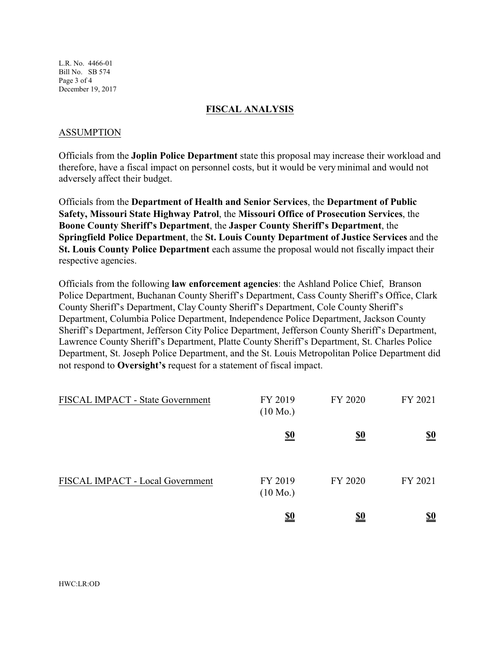L.R. No. 4466-01 Bill No. SB 574 Page 3 of 4 December 19, 2017

### **FISCAL ANALYSIS**

### ASSUMPTION

Officials from the **Joplin Police Department** state this proposal may increase their workload and therefore, have a fiscal impact on personnel costs, but it would be very minimal and would not adversely affect their budget.

Officials from the **Department of Health and Senior Services**, the **Department of Public Safety, Missouri State Highway Patrol**, the **Missouri Office of Prosecution Services**, the **Boone County Sheriff's Department**, the **Jasper County Sheriff's Department**, the **Springfield Police Department**, the **St. Louis County Department of Justice Services** and the **St. Louis County Police Department** each assume the proposal would not fiscally impact their respective agencies.

Officials from the following **law enforcement agencies**: the Ashland Police Chief, Branson Police Department, Buchanan County Sheriff's Department, Cass County Sheriff's Office, Clark County Sheriff's Department, Clay County Sheriff's Department, Cole County Sheriff's Department, Columbia Police Department, Independence Police Department, Jackson County Sheriff's Department, Jefferson City Police Department, Jefferson County Sheriff's Department, Lawrence County Sheriff's Department, Platte County Sheriff's Department, St. Charles Police Department, St. Joseph Police Department, and the St. Louis Metropolitan Police Department did not respond to **Oversight's** request for a statement of fiscal impact.

| FISCAL IMPACT - State Government | FY 2019<br>$(10 \text{ Mo.})$ | FY 2020    | FY 2021    |
|----------------------------------|-------------------------------|------------|------------|
|                                  | $\underline{\underline{\$0}}$ | <u>\$0</u> | <u>\$0</u> |
| FISCAL IMPACT - Local Government | FY 2019<br>$(10 \text{ Mo.})$ | FY 2020    | FY 2021    |
|                                  | <u>\$0</u>                    | <u>\$0</u> | <u>\$0</u> |